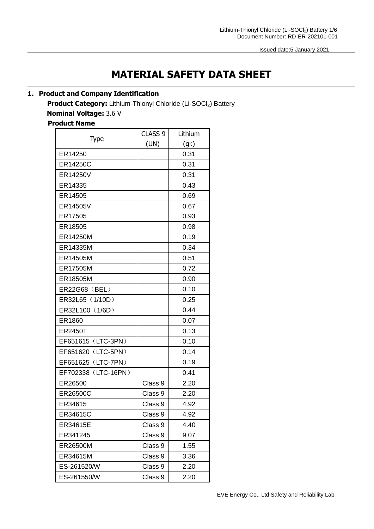# **MATERIAL SAFETY DATA SHEET**

# **1. Product and Company Identification**

**Product Category:** Lithium-Thionyl Chloride (Li-SOCl<sub>2</sub>) Battery **Nominal Voltage:** 3.6 V

# **Product Name**

|                     | CLASS <sub>9</sub> | Lithium |
|---------------------|--------------------|---------|
| Type                | (UN)               | (gr.)   |
| ER14250             |                    | 0.31    |
| ER14250C            |                    | 0.31    |
| ER14250V            |                    | 0.31    |
| ER14335             |                    | 0.43    |
| ER14505             |                    | 0.69    |
| ER14505V            |                    | 0.67    |
| ER17505             |                    | 0.93    |
| ER18505             |                    | 0.98    |
| ER14250M            |                    | 0.19    |
| ER14335M            |                    | 0.34    |
| ER14505M            |                    | 0.51    |
| ER17505M            |                    | 0.72    |
| ER18505M            |                    | 0.90    |
| ER22G68 (BEL)       |                    | 0.10    |
| ER32L65 (1/10D)     |                    | 0.25    |
| ER32L100 (1/6D)     |                    | 0.44    |
| ER1860              |                    | 0.07    |
| <b>ER2450T</b>      |                    | 0.13    |
| EF651615 (LTC-3PN)  |                    | 0.10    |
| EF651620 (LTC-5PN)  |                    | 0.14    |
| EF651625 (LTC-7PN)  |                    | 0.19    |
| EF702338 (LTC-16PN) |                    | 0.41    |
| ER26500             | Class 9            | 2.20    |
| ER26500C            | Class 9            | 2.20    |
| ER34615             | Class 9            | 4.92    |
| ER34615C            | Class 9            | 4.92    |
| ER34615E            | Class 9            | 4.40    |
| ER341245            | Class 9            | 9.07    |
| ER26500M            | Class 9            | 1.55    |
| ER34615M            | Class 9            | 3.36    |
| ES-261520/W         | Class 9            | 2.20    |
| ES-261550/W         | Class 9            | 2.20    |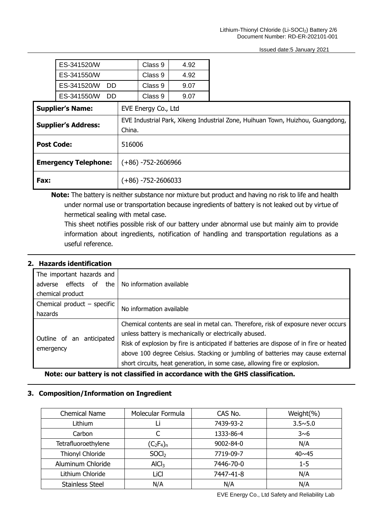|                                                                                                                        | ES-341520/W                   |                       | Class 9               | 4.92 |  |
|------------------------------------------------------------------------------------------------------------------------|-------------------------------|-----------------------|-----------------------|------|--|
|                                                                                                                        | ES-341550/W                   |                       | Class 9               | 4.92 |  |
|                                                                                                                        | ES-341520/W<br>D <sub>D</sub> |                       | Class 9               | 9.07 |  |
|                                                                                                                        | ES-341550/W<br><b>DD</b>      |                       | Class 9               | 9.07 |  |
|                                                                                                                        | <b>Supplier's Name:</b>       |                       | EVE Energy Co., Ltd   |      |  |
| EVE Industrial Park, Xikeng Industrial Zone, Huihuan Town, Huizhou, Guangdong,<br><b>Supplier's Address:</b><br>China. |                               |                       |                       |      |  |
| <b>Post Code:</b>                                                                                                      |                               | 516006                |                       |      |  |
|                                                                                                                        | <b>Emergency Telephone:</b>   |                       | $(+86) -752 -2606966$ |      |  |
| Fax:                                                                                                                   |                               | $(+86) -752 -2606033$ |                       |      |  |

**Note:** The battery is neither substance nor mixture but product and having no risk to life and health under normal use or transportation because ingredients of battery is not leaked out by virtue of hermetical sealing with metal case.

 This sheet notifies possible risk of our battery under abnormal use but mainly aim to provide information about ingredients, notification of handling and transportation regulations as a useful reference.

#### **2. Hazards identification**

| The important hazards and                       |                                                                                        |  |
|-------------------------------------------------|----------------------------------------------------------------------------------------|--|
| adverse effects of the No information available |                                                                                        |  |
| chemical product                                |                                                                                        |  |
| Chemical product $-$ specific                   | No information available                                                               |  |
| hazards                                         |                                                                                        |  |
|                                                 | Chemical contents are seal in metal can. Therefore, risk of exposure never occurs      |  |
|                                                 | unless battery is mechanically or electrically abused.                                 |  |
| Outline of an anticipated                       | Risk of explosion by fire is anticipated if batteries are dispose of in fire or heated |  |
| emergency                                       | above 100 degree Celsius. Stacking or jumbling of batteries may cause external         |  |
|                                                 | short circuits, heat generation, in some case, allowing fire or explosion.             |  |

**Note: our battery is not classified in accordance with the GHS classification.**

## **3. Composition/Information on Ingredient**

| <b>Chemical Name</b>   | Molecular Formula  | CAS No.   | Weight(%)        |
|------------------------|--------------------|-----------|------------------|
| Lithium                |                    | 7439-93-2 | $3.5 \times 5.0$ |
| Carbon                 |                    | 1333-86-4 | 3~6              |
| Tetrafluoroethylene    | $(C_2F_4)_n$       | 9002-84-0 | N/A              |
| Thionyl Chloride       | S OCl <sub>2</sub> | 7719-09-7 | $40 \times 45$   |
| Aluminum Chloride      | AICI <sub>3</sub>  | 7446-70-0 | $1 - 5$          |
| Lithium Chloride       | LiCl               | 7447-41-8 | N/A              |
| <b>Stainless Steel</b> | N/A                | N/A       | N/A              |

EVE Energy Co., Ltd Safety and Reliability Lab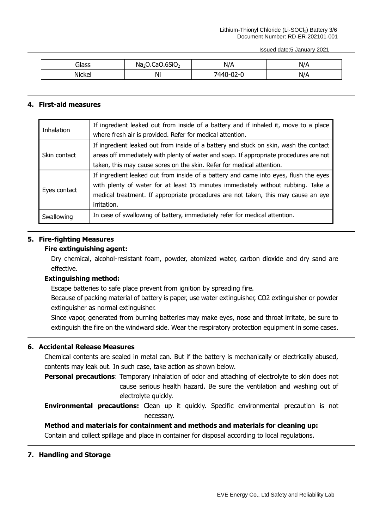| Glass  | .6SiO <sub>2</sub><br>Na <sub>2</sub> C<br>-aC | N/A                     | N/A |
|--------|------------------------------------------------|-------------------------|-----|
| Nickel | Ni                                             | <b>AAN</b><br>1/1<br>◡▵ | N/A |

#### **4. First-aid measures**

| <b>Inhalation</b> | If ingredient leaked out from inside of a battery and if inhaled it, move to a place   |
|-------------------|----------------------------------------------------------------------------------------|
|                   | where fresh air is provided. Refer for medical attention.                              |
|                   | If ingredient leaked out from inside of a battery and stuck on skin, wash the contact  |
| Skin contact      | areas off immediately with plenty of water and soap. If appropriate procedures are not |
|                   | taken, this may cause sores on the skin. Refer for medical attention.                  |
|                   | If ingredient leaked out from inside of a battery and came into eyes, flush the eyes   |
| Eyes contact      | with plenty of water for at least 15 minutes immediately without rubbing. Take a       |
|                   | medical treatment. If appropriate procedures are not taken, this may cause an eye      |
|                   | irritation.                                                                            |
| Swallowing        | In case of swallowing of battery, immediately refer for medical attention.             |

#### **5. Fire-fighting Measures**

#### **Fire extinguishing agent:**

Dry chemical, alcohol-resistant foam, powder, atomized water, carbon dioxide and dry sand are effective.

#### **Extinguishing method:**

Escape batteries to safe place prevent from ignition by spreading fire.

Because of packing material of battery is paper, use water extinguisher, CO2 extinguisher or powder extinguisher as normal extinguisher.

Since vapor, generated from burning batteries may make eyes, nose and throat irritate, be sure to extinguish the fire on the windward side. Wear the respiratory protection equipment in some cases.

# **6. Accidental Release Measures**

Chemical contents are sealed in metal can. But if the battery is mechanically or electrically abused, contents may leak out. In such case, take action as shown below.

**Personal precautions**: Temporary inhalation of odor and attaching of electrolyte to skin does not cause serious health hazard. Be sure the ventilation and washing out of electrolyte quickly.

**Environmental precautions:** Clean up it quickly. Specific environmental precaution is not necessary.

### **Method and materials for containment and methods and materials for cleaning up:**

Contain and collect spillage and place in container for disposal according to local regulations.

#### **7. Handling and Storage**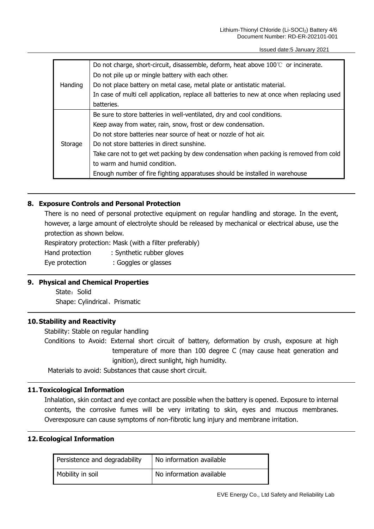|         | Do not charge, short-circuit, disassemble, deform, heat above $100^{\circ}$ or incinerate.  |
|---------|---------------------------------------------------------------------------------------------|
|         | Do not pile up or mingle battery with each other.                                           |
| Handing | Do not place battery on metal case, metal plate or antistatic material.                     |
|         | In case of multi cell application, replace all batteries to new at once when replacing used |
|         | batteries.                                                                                  |
|         | Be sure to store batteries in well-ventilated, dry and cool conditions.                     |
| Storage | Keep away from water, rain, snow, frost or dew condensation.                                |
|         | Do not store batteries near source of heat or nozzle of hot air.                            |
|         | Do not store batteries in direct sunshine.                                                  |
|         | Take care not to get wet packing by dew condensation when packing is removed from cold      |
|         | to warm and humid condition.                                                                |
|         | Enough number of fire fighting apparatuses should be installed in warehouse                 |

#### **8. Exposure Controls and Personal Protection**

There is no need of personal protective equipment on regular handling and storage. In the event, however, a large amount of electrolyte should be released by mechanical or electrical abuse, use the protection as shown below.

Respiratory protection: Mask (with a filter preferably)

Hand protection : Synthetic rubber gloves

Eye protection : Goggles or glasses

#### **9. Physical and Chemical Properties**

State: Solid Shape: Cylindrical、Prismatic

#### **10.Stability and Reactivity**

Stability: Stable on regular handling

Conditions to Avoid: External short circuit of battery, deformation by crush, exposure at high temperature of more than 100 degree C (may cause heat generation and ignition), direct sunlight, high humidity.

Materials to avoid: Substances that cause short circuit.

#### **11.Toxicological Information**

Inhalation, skin contact and eye contact are possible when the battery is opened. Exposure to internal contents, the corrosive fumes will be very irritating to skin, eyes and mucous membranes. Overexposure can cause symptoms of non-fibrotic lung injury and membrane irritation.

#### **12.Ecological Information**

| Persistence and degradability | No information available |
|-------------------------------|--------------------------|
| Mobility in soil              | No information available |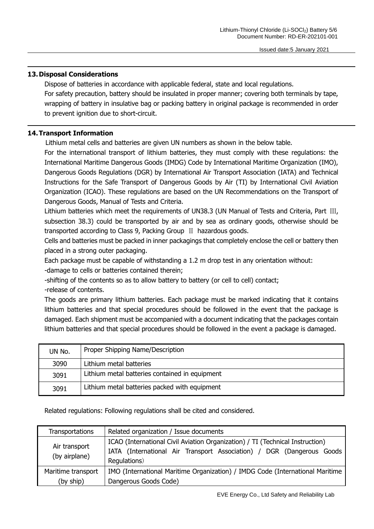#### **13.Disposal Considerations**

Dispose of batteries in accordance with applicable federal, state and local regulations. For safety precaution, battery should be insulated in proper manner; covering both terminals by tape, wrapping of battery in insulative bag or packing battery in original package is recommended in order to prevent ignition due to short-circuit.

#### **14.Transport Information**

Lithium metal cells and batteries are given UN numbers as shown in the below table.

For the international transport of lithium batteries, they must comply with these regulations: the International Maritime Dangerous Goods (IMDG) Code by International Maritime Organization (IMO), Dangerous Goods Regulations (DGR) by International Air Transport Association (IATA) and Technical Instructions for the Safe Transport of Dangerous Goods by Air (TI) by International Civil Aviation Organization (ICAO). These regulations are based on the UN Recommendations on the Transport of Dangerous Goods, Manual of Tests and Criteria.

Lithium batteries which meet the requirements of UN38.3 (UN Manual of Tests and Criteria, Part III, subsection 38.3) could be transported by air and by sea as ordinary goods, otherwise should be transported according to Class 9, Packing Group Ⅱ hazardous goods.

Cells and batteries must be packed in inner packagings that completely enclose the cell or battery then placed in a strong outer packaging.

Each package must be capable of withstanding a 1.2 m drop test in any orientation without: -damage to cells or batteries contained therein;

-shifting of the contents so as to allow battery to battery (or cell to cell) contact;

-release of contents.

The goods are primary lithium batteries. Each package must be marked indicating that it contains lithium batteries and that special procedures should be followed in the event that the package is damaged. Each shipment must be accompanied with a document indicating that the packages contain lithium batteries and that special procedures should be followed in the event a package is damaged.

| UN No. | Proper Shipping Name/Description               |
|--------|------------------------------------------------|
| 3090   | Lithium metal batteries                        |
| 3091   | Lithium metal batteries contained in equipment |
| 3091   | Lithium metal batteries packed with equipment  |

Related regulations: Following regulations shall be cited and considered.

| <b>Transportations</b>         | Related organization / Issue documents                                                |
|--------------------------------|---------------------------------------------------------------------------------------|
|                                | ICAO (International Civil Aviation Organization) / TI (Technical Instruction)         |
| Air transport<br>(by airplane) | IATA (International Air Transport Association) / DGR (Dangerous Goods<br>Regulations) |
| Maritime transport             | IMO (International Maritime Organization) / IMDG Code (International Maritime         |
| (by ship)                      | Dangerous Goods Code)                                                                 |